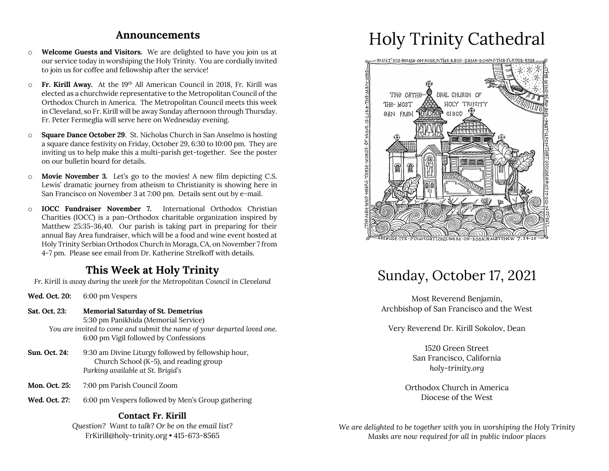#### **Announcements**

- o **Welcome Guests and Visitors.** We are delighted to have you join us at our service today in worshiping the Holy Trinity. You are cordially invited to join us for coffee and fellowship after the service!
- o **Fr. Kirill Away.** At the 19th All American Council in 2018, Fr. Kirill was elected as a churchwide representative to the Metropolitan Council of the Orthodox Church in America. The Metropolitan Council meets this week in Cleveland, so Fr. Kirill will be away Sunday afternoon through Thursday. Fr. Peter Fermeglia will serve here on Wednesday evening.
- o **Square Dance October 29**. St. Nicholas Church in San Anselmo is hosting a square dance festivity on Friday, October 29, 6:30 to 10:00 pm. They are inviting us to help make this a multi-parish get-together. See the poster on our bulletin board for details.
- o **Movie November 3.** Let's go to the movies! A new film depicting C.S. Lewis' dramatic journey from atheism to Christianity is showing here in San Francisco on November 3 at 7:00 pm. Details sent out by e-mail.
- o **IOCC Fundraiser November 7.** International Orthodox Christian Charities (IOCC) is a pan-Orthodox charitable organization inspired by Matthew 25:35-36,40. Our parish is taking part in preparing for their annual Bay Area fundraiser, which will be a food and wine event hosted at Holy Trinity Serbian Orthodox Church in Moraga, CA, on November 7 from 4-7 pm. Please see email from Dr. Katherine Strelkoff with details.

### **This Week at Holy Trinity**

*Fr. Kirill is away during the week for the Metropolitan Council in Cleveland*

- **Wed. Oct. 20:** 6:00 pm Vespers
- **Sat. Oct. 23: Memorial Saturday of St. Demetrius** 5:30 pm Panikhida (Memorial Service)
	- *You are invited to come and submit the name of your departed loved one.* 6:00 pm Vigil followed by Confessions
- **Sun. Oct. 24:** 9:30 am Divine Liturgy followed by fellowship hour, Church School (K-5), and reading group *Parking available at St. Brigid's*
- **Mon. Oct. 25:** 7:00 pm Parish Council Zoom
- **Wed. Oct. 27:** 6:00 pm Vespers followed by Men's Group gathering

#### **Contact Fr. Kirill**

*Question? Want to talk? Or be on the email list?* FrKirill@holy-trinity.org • 415-673-8565

# Holy Trinity Cathedral



# Sunday, October 17, 2021

Most Reverend Benjamin, Archbishop of San Francisco and the West

Very Reverend Dr. Kirill Sokolov, Dean

1520 Green Street San Francisco, California *holy-trinity.org*

Orthodox Church in America Diocese of the West

*We are delighted to be together with you in worshiping the Holy Trinity Masks are now required for all in public indoor places*